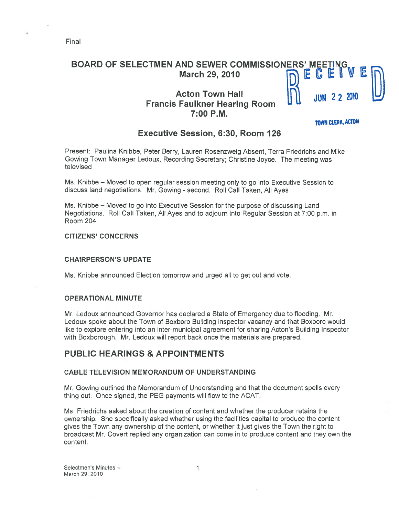# BOARD OF SELECTMEN AND SEWER COMMISSIONERS' MEET March 29, 2010  $\Box$  E  $\Box$

# Acton Town Hall<br>Francis Faulkner Hearing Room 7:00 P.M.

TOWN CLERK, ACTON

## Executive Session, 6:30, Room 126

Present: Paulina Knibbe, Peter Berry, Lauren Rosenzweig Absent, Terra Friedrichs and Mike Gowing Town Manager Ledoux, Recording Secretary; Christine Joyce. The meeting was televised

Ms. Knibbe — Moved to open regular session meeting only to go into Executive Session to discuss land negotiations. Mr. Gowing - second. Roll Call Taken, All Ayes

Ms. Knibbe — Moved to go into Executive Session for the purpose of discussing Land Negotiations. Roll Call Taken, All Ayes and to adjourn into Regular Session at 7:00 p.m. in Room 204,

### CITIZENS' CONCERNS

#### CHAIRPERSON'S UPDATE

Ms. Knibbe announced Election tomorrow and urged all to ge<sup>t</sup> out and vote.

#### OPERATIONAL MINUTE

Mr. Ledoux announced Governor has declared <sup>a</sup> State of Emergency due to flooding. Mr. Ledoux spoke about the Town of Boxboro Building inspector vacancy and that Boxboro would like to explore entering into an inter-municipal agreemen<sup>t</sup> for sharing Acton's Building Inspector with Boxborough. Mr. Ledoux will repor<sup>t</sup> back once the materials are prepared.

### PUBLIC HEARINGS & APPOINTMENTS

#### CABLE TELEVISION MEMORANDUM OF UNDERSTANDING

Mr. Gowing outlined the Memorandum of Understanding and that the document spells every thing out. Once signed, the PEG payments will flow to the ACAT.

Ms. Friedrichs asked about the creation of content and whether the producer retains the ownership. She specifically asked whether using the facilities capital to produce the content gives the Town any ownership of the content, or whether it just gives the Town the right to broadcast Mr. Covert replied any organization can come in to produce content and they own the content.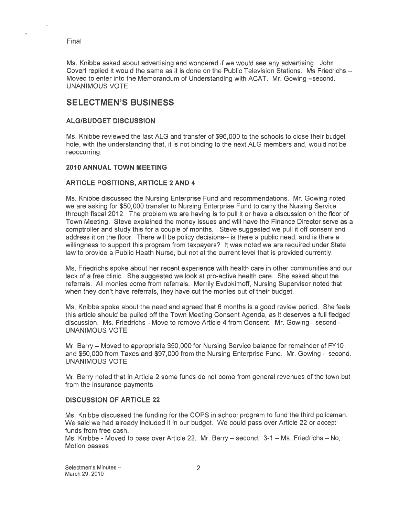Ms. Knibbe asked about advertising and wondered if we would see any advertising. John Covert replied it would the same as it is done on the Public Television Stations. Ms Friedrichs — Moved to enter into the Memorandum of Understanding with ACAT. Mr. Gowing —second. UNANIMOUS VOTE

# SELECTMEN'S BUSINESS

#### ALG/BUDGET DISCUSSION

Ms. Knibbe reviewed the last ALG and transfer of \$96,000 to the schools to close their budget hole, with the understanding that, it is not binding to the next ALG members and, would not be reoccurring.

#### 2010 ANNUAL TOWN MEETING

#### ARTICLE POSITIONS, ARTICLE 2 AND 4

Ms. Knibbe discussed the Nursing Enterprise Fund and recommendations. Mr. Gowing noted we are asking for \$50,000 transfer to Nursing Enterprise Fund to carry the Nursing Service through fiscal 2012. The problem we are having is to pull it or have <sup>a</sup> discussion on the floor of Town Meeting. Steve explained the money issues and will have the Finance Director serve as <sup>a</sup> comptroller and study this for <sup>a</sup> couple of months. Steve suggested we pull it off consent and address it on the floor. There will be policy decisions-- is there <sup>a</sup> public need, and is there <sup>a</sup> willingness to suppor<sup>t</sup> this program from taxpayers? It was noted we are required under State law to provide <sup>a</sup> Public Heath Nurse, but not at the current level that is provided currently.

Ms. Friedrichs spoke about her recent experience with health care in other communities and our lack of <sup>a</sup> free clinic. She suggested we look at pro-active health care. She asked about the referrals. All monies come from referrals. Merrily Evdokimoff, Nursing Supervisor noted that when they don't have referrals, they have cut the monies out of their budget.

Ms. Knibbe spoke about the need and agreed that 6 months is <sup>a</sup> good review period. She feels this article should be pulled off the Town Meeting Consent Agenda, as it deserves <sup>a</sup> full fledged discussion. Ms. Friedrichs - Move to remove Article 4 from Consent. Mr. Gowing - second -UNANIMOUS VOTE

Mr. Berry — Moved to appropriate \$50,000 for Nursing Service balance for remainder of FYI 0 and \$50,000 from Taxes and \$97,000 from the Nursing Enterprise Fund. Mr. Gowing — second. UNANIMOUS VOTE

Mr. Berry noted that in Article 2 some funds do not come from general revenues of the town but from the insurance payments

#### DISCUSSION OF ARTICLE 22

Ms. Knibbe discussed the funding for the COPS in school program to fund the third policeman. We said we had already included it in our budget. We could pass over Article 22 or accep<sup>t</sup> funds from free cash.

Ms. Knibbe - Moved to pass over Article 22. Mr. Berry — second. 3-1 — Ms. Friedrichs — No, Motion passes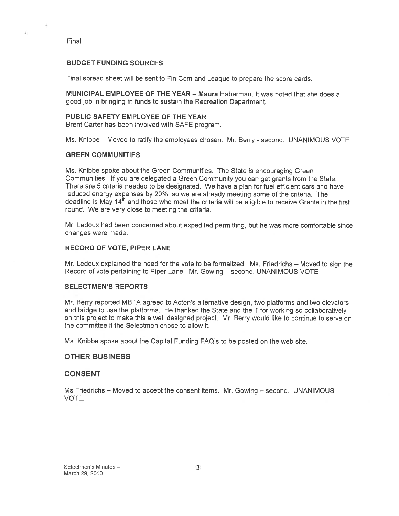#### BUDGET FUNDING SOURCES

Final spread sheet will be sent to Fin Com and League to prepare the score cards.

MUNICIPAL EMPLOYEE OF THE YEAR — Maura Haberman. It was noted that she does <sup>a</sup> good job in bringing in funds to sustain the Recreation Department.

#### PUBLIC SAFETY EMPLOYEE OF THE YEAR

Brent Carter has been involved with SAFE program.

Ms. Knibbe - Moved to ratify the employees chosen. Mr. Berry - second. UNANIMOUS VOTE

#### GREEN COMMUNITIES

Ms. Knibbe spoke about the Green Communities. The State is encouraging Green Communities. If you are delegated <sup>a</sup> Green Community you can ge<sup>t</sup> grants from the State. There are 5 criteria needed to be designated. We have <sup>a</sup> plan for fuel efficient cars and have reduced energy expenses by 20%, so we are already meeting some of the criteria, The deadline is May 14<sup>th</sup> and those who meet the criteria will be eligible to receive Grants in the first round. We are very close to meeting the criteria.

Mr. Ledoux had been concerned about expedited permitting, but he was more comfortable since changes were made.

#### RECORD OF VOTE, PIPER LANE

Mr. Ledoux explained the need for the vote to be formalized. Ms. Friedrichs — Moved to sign the Record of vote pertaining to Piper Lane. Mr. Gowing — second. UNANIMOUS VOTE

#### SELECTMEN'S REPORTS

Mr. Berry reported MBTA agreed to Acton's alternative design, two platforms and two elevators and bridge to use the <sup>p</sup>latforms. He thanked the State and the <sup>T</sup> for working so collaboratively on this project to make this <sup>a</sup> well designed project. Mr. Berry would like to continue to serve on the committee if the Selectmen chose to allow it.

Ms. Knibbe spoke about the Capital Funding FAQ's to be posted on the web site.

#### OTHER BUSINESS

#### CONSENT

Ms Friedrichs — Moved to accep<sup>t</sup> the consent items. Mr. Gowing — second. UNANIMOUS VOTE.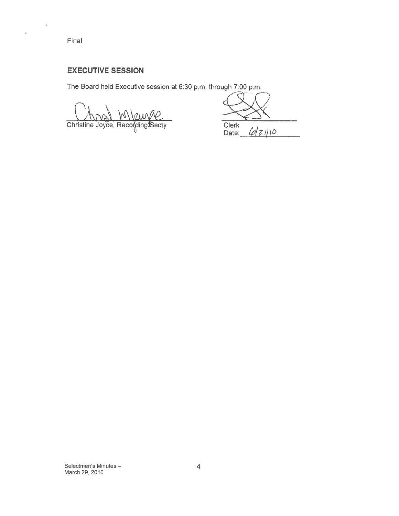Q)

ï

# EXECUTIVE SESSION

The Board held Executive session at 6:30 p.m. through 7:00 p.m.

Christine Joyce, Recording Secty

Clerk  $6210$ Date: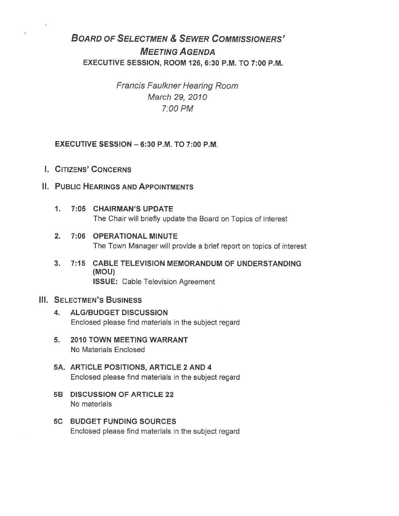# BOARD OF SELECTMEN & SEWER COMMISSIONERS' MEETING AGENDA EXECUTIVE SESSION, ROOM 126, 6:30 P.M. TO 7:00 P.M.

Francis Faulkner Hearing Room March 29, 2010 7:00PM

## EXECUTIVE SESSION — 6:30 P.M. TO 7:00 P.M.

- I. CITIZENS' CONCERNS
- II. PUBLIC HEARINGS AND APPOINTMENTS
	- 1. 7:05 CHAIRMAN'S UPDATE The Chair will briefly update the Board on Topics of interest
	- 2. 7:06 OPERATIONAL MINUTE The Town Manager will provide <sup>a</sup> brief repor<sup>t</sup> on topics of interest
	- 3. 7:15 CABLE TELEVISION MEMORANDUM OF UNDERSTANDING (MOU) ISSUE: Cable Television Agreement

## III. SELECTMEN'S BUSINESS

- 4. ALG/BUDGET DISCUSSION Enclosed please find materials in the subject regard
- 5. 2010 TOWN MEETING WARRANT No Materials Enclosed
- 5A. ARTICLE POSITIONS, ARTICLE 2 AND 4 Enclosed please find materials in the subject regard
- 5B DISCUSSION OF ARTICLE 22 No materials
- 5C BUDGET FUNDING SOURCES Enclosed please find materials in the subject regard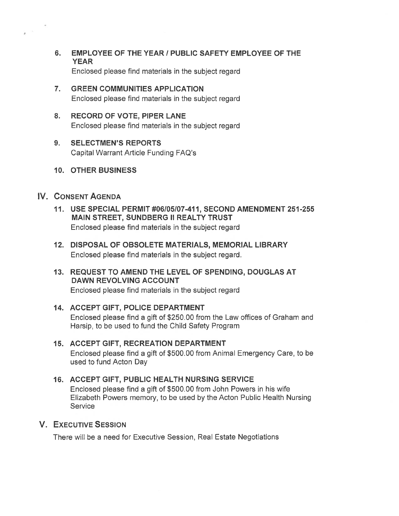- 6. EMPLOYEE OF THE YEAR / PUBLIC SAFETY EMPLOYEE OF THE YEAR Enclosed please find materials in the subject regard
- 7. GREEN COMMUNITIES APPLICATION Enclosed please find materials in the subject regard
- 8. RECORD OF VOTE, PIPER LANE Enclosed please find materials in the subject regard
- 9. SELECTMEN'S REPORTS Capital Warrant Article Funding FAQ's
- 10. OTHER BUSINESS

# IV. CONSENT AGENDA

- 11. USE SPECIAL PERMIT #06105107-411, SECOND AMENDMENT 251-255 MAIN STREET, SUNDBERG II REALTY TRUST Enclosed please find materials in the subject regard
- 12. DISPOSAL OF OBSOLETE MATERIALS, MEMORIAL LIBRARY Enclosed please find materials in the subject regard.
- 13. REQUEST TO AMEND THE LEVEL OF SPENDING, DOUGLAS AT DAWN REVOLVING ACCOUNT Enclosed please find materials in the subject regard

# 14. ACCEPT GIFT, POLICE DEPARTMENT Enclosed please find <sup>a</sup> gift of \$250.00 from the Law offices of Graham and Harsip, to be used to fund the Child Safety Program

# 15. ACCEPT GIFT, RECREATION DEPARTMENT Enclosed please find <sup>a</sup> gift of \$500.00 from Animal Emergency Care, to be used to fund Acton Day

# 16. ACCEPT GIFT, PUBLIC HEALTH NURSING SERVICE Enclosed please find <sup>a</sup> gift of \$500.00 from John Powers in his wife Elizabeth Powers memory, to be used by the Acton Public Health Nursing **Service**

# V. EXECUTIVE SESSION

There will be <sup>a</sup> need for Executive Session, Real Estate Negotiations